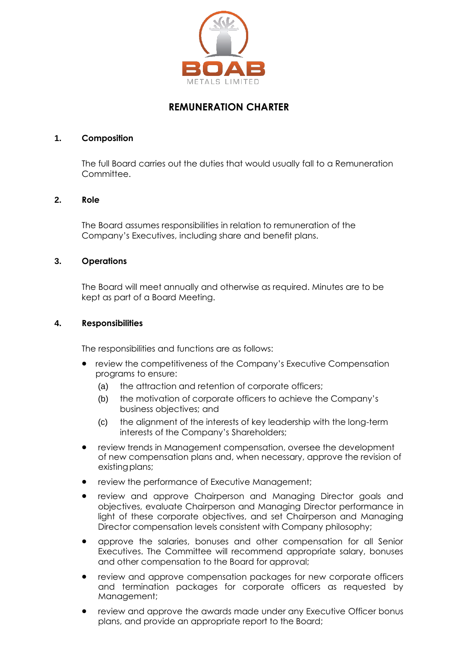

# **REMUNERATION CHARTER**

#### **1. Composition**

The full Board carries out the duties that would usually fall to a Remuneration Committee.

## **2. Role**

The Board assumes responsibilities in relation to remuneration of the Company's Executives, including share and benefit plans.

## **3. Operations**

The Board will meet annually and otherwise as required. Minutes are to be kept as part of a Board Meeting.

#### **4. Responsibilities**

The responsibilities and functions are as follows:

- review the competitiveness of the Company's Executive Compensation programs to ensure:
	- (a) the attraction and retention of corporate officers;
	- (b) the motivation of corporate officers to achieve the Company's business objectives; and
	- (c) the alignment of the interests of key leadership with the long-term interests of the Company's Shareholders;
- review trends in Management compensation, oversee the development of new compensation plans and, when necessary, approve the revision of existing plans;
- review the performance of Executive Management;
- review and approve Chairperson and Managing Director goals and objectives, evaluate Chairperson and Managing Director performance in light of these corporate objectives, and set Chairperson and Managing Director compensation levels consistent with Company philosophy;
- approve the salaries, bonuses and other compensation for all Senior Executives. The Committee will recommend appropriate salary, bonuses and other compensation to the Board for approval;
- review and approve compensation packages for new corporate officers and termination packages for corporate officers as requested by Management;
- review and approve the awards made under any Executive Officer bonus plans, and provide an appropriate report to the Board;